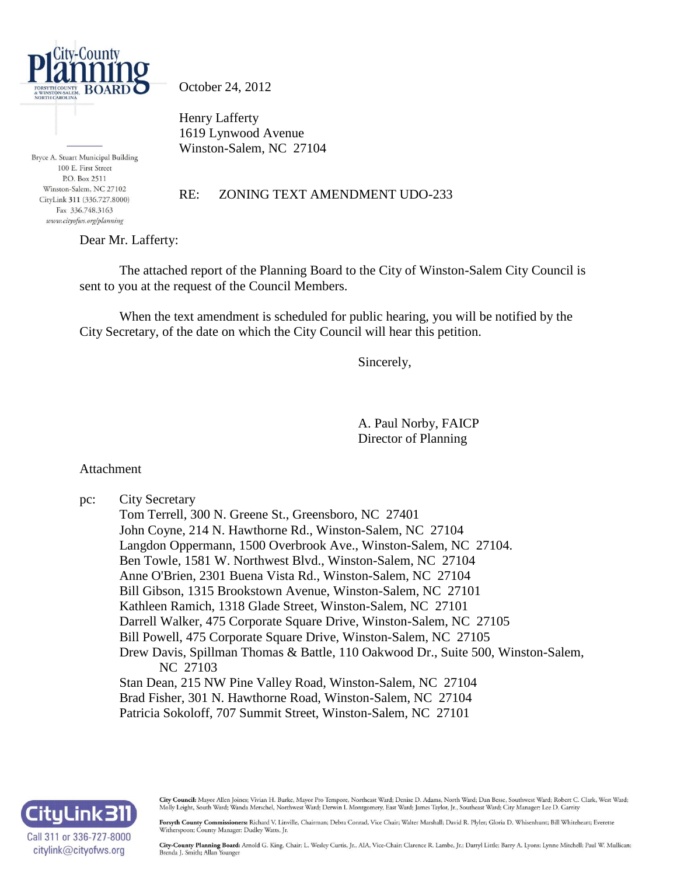

October 24, 2012

Henry Lafferty 1619 Lynwood Avenue Winston-Salem, NC 27104

Bryce A. Stuart Municipal Building 100 E. First Street P.O. Box 2511 Winston-Salem, NC 27102 CityLink 311 (336.727.8000) Fax 336.748.3163 www.cityofws.org/planning

#### RE: ZONING TEXT AMENDMENT UDO-233

Dear Mr. Lafferty:

The attached report of the Planning Board to the City of Winston-Salem City Council is sent to you at the request of the Council Members.

When the text amendment is scheduled for public hearing, you will be notified by the City Secretary, of the date on which the City Council will hear this petition.

Sincerely,

A. Paul Norby, FAICP Director of Planning

Attachment

pc: City Secretary

Tom Terrell, 300 N. Greene St., Greensboro, NC 27401 John Coyne, 214 N. Hawthorne Rd., Winston-Salem, NC 27104 Langdon Oppermann, 1500 Overbrook Ave., Winston-Salem, NC 27104. Ben Towle, 1581 W. Northwest Blvd., Winston-Salem, NC 27104 Anne O'Brien, 2301 Buena Vista Rd., Winston-Salem, NC 27104 Bill Gibson, 1315 Brookstown Avenue, Winston-Salem, NC 27101 Kathleen Ramich, 1318 Glade Street, Winston-Salem, NC 27101 Darrell Walker, 475 Corporate Square Drive, Winston-Salem, NC 27105 Bill Powell, 475 Corporate Square Drive, Winston-Salem, NC 27105 Drew Davis, Spillman Thomas & Battle, 110 Oakwood Dr., Suite 500, Winston-Salem, NC 27103 Stan Dean, 215 NW Pine Valley Road, Winston-Salem, NC 27104 Brad Fisher, 301 N. Hawthorne Road, Winston-Salem, NC 27104 Patricia Sokoloff, 707 Summit Street, Winston-Salem, NC 27101



City Council: Mayor Allen Joines; Vivian H. Burke, Mayor Pro Tempore, Northeast Ward; Denise D. Adams, North Ward; Dan Besse, Southwest Ward; Robert C. Clark, West Ward; Molly Leight, South Ward; Wanda Merschel, Northwest Ward; Derwin L Montgomery, East Ward; James Taylor, Jr., Southeast Ward; City Manager: Lee D. Garrity

Forsyth County Commissioners: Richard V. Linville, Chairman; Debra Conrad, Vice Chair; Walter Marshall; David R. Plyler; Gloria D. Whisenhunt; Bill Whiteheart; Everette Witherspoon; County Manager: Dudley Watts, Jr.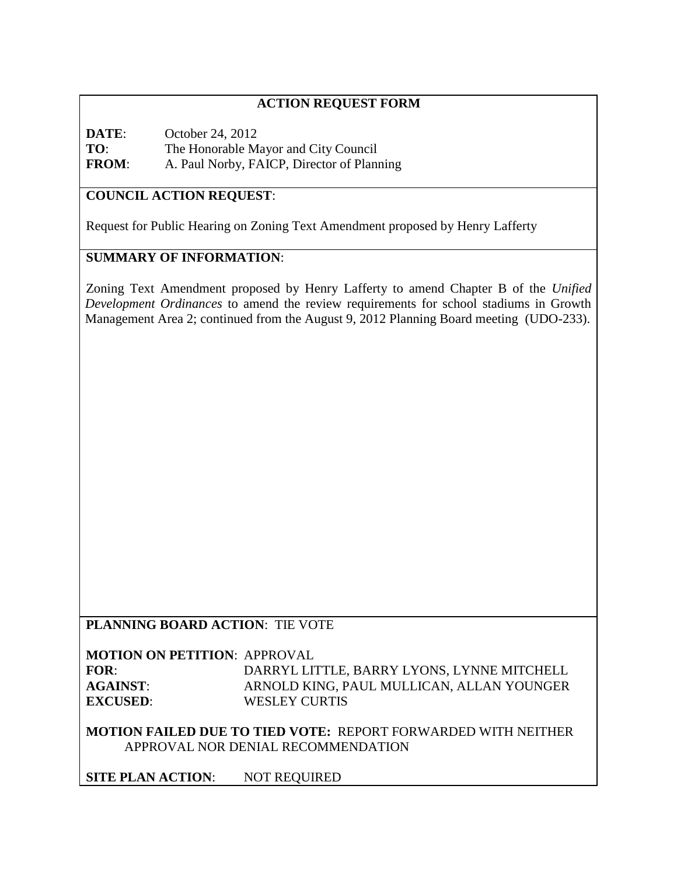## **ACTION REQUEST FORM**

**DATE**: October 24, 2012 **TO**: The Honorable Mayor and City Council **FROM**: A. Paul Norby, FAICP, Director of Planning

# **COUNCIL ACTION REQUEST**:

Request for Public Hearing on Zoning Text Amendment proposed by Henry Lafferty

# **SUMMARY OF INFORMATION**:

Zoning Text Amendment proposed by Henry Lafferty to amend Chapter B of the *Unified Development Ordinances* to amend the review requirements for school stadiums in Growth Management Area 2; continued from the August 9, 2012 Planning Board meeting (UDO-233).

#### **PLANNING BOARD ACTION**: TIE VOTE

**MOTION ON PETITION**: APPROVAL **FOR**: DARRYL LITTLE, BARRY LYONS, LYNNE MITCHELL **AGAINST**: ARNOLD KING, PAUL MULLICAN, ALLAN YOUNGER **EXCUSED**: WESLEY CURTIS

**MOTION FAILED DUE TO TIED VOTE:** REPORT FORWARDED WITH NEITHER APPROVAL NOR DENIAL RECOMMENDATION

**SITE PLAN ACTION**: NOT REQUIRED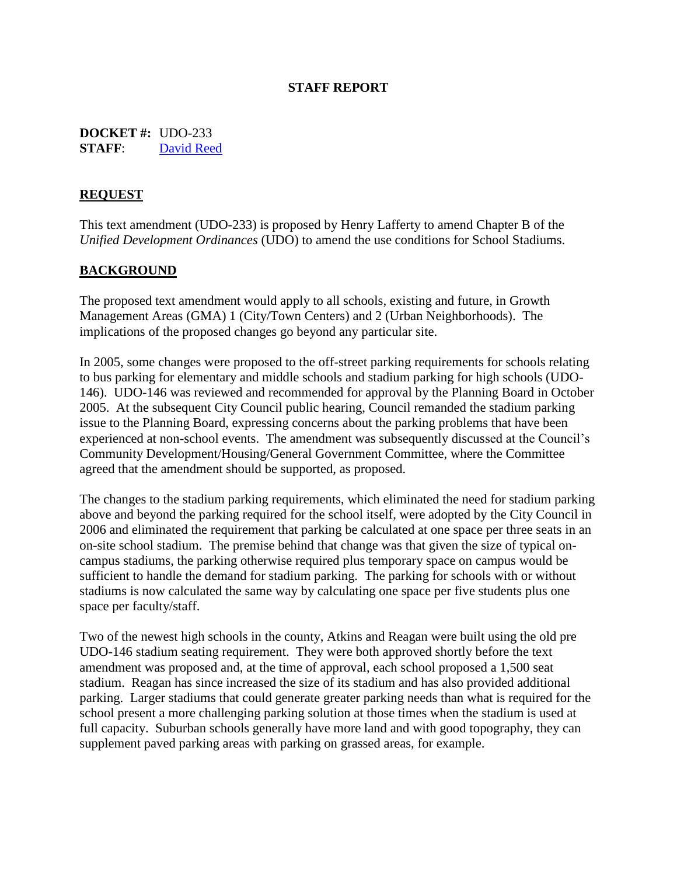#### **STAFF REPORT**

**DOCKET #:** UDO-233 **STAFF**: [David Reed](mailto:davidr@cityofws.org?subject=UDO-233)

#### **REQUEST**

This text amendment (UDO-233) is proposed by Henry Lafferty to amend Chapter B of the *Unified Development Ordinances* (UDO) to amend the use conditions for School Stadiums.

#### **BACKGROUND**

The proposed text amendment would apply to all schools, existing and future, in Growth Management Areas (GMA) 1 (City/Town Centers) and 2 (Urban Neighborhoods). The implications of the proposed changes go beyond any particular site.

In 2005, some changes were proposed to the off-street parking requirements for schools relating to bus parking for elementary and middle schools and stadium parking for high schools (UDO-146). UDO-146 was reviewed and recommended for approval by the Planning Board in October 2005. At the subsequent City Council public hearing, Council remanded the stadium parking issue to the Planning Board, expressing concerns about the parking problems that have been experienced at non-school events. The amendment was subsequently discussed at the Council's Community Development/Housing/General Government Committee, where the Committee agreed that the amendment should be supported, as proposed.

The changes to the stadium parking requirements, which eliminated the need for stadium parking above and beyond the parking required for the school itself, were adopted by the City Council in 2006 and eliminated the requirement that parking be calculated at one space per three seats in an on-site school stadium. The premise behind that change was that given the size of typical oncampus stadiums, the parking otherwise required plus temporary space on campus would be sufficient to handle the demand for stadium parking. The parking for schools with or without stadiums is now calculated the same way by calculating one space per five students plus one space per faculty/staff.

Two of the newest high schools in the county, Atkins and Reagan were built using the old pre UDO-146 stadium seating requirement. They were both approved shortly before the text amendment was proposed and, at the time of approval, each school proposed a 1,500 seat stadium. Reagan has since increased the size of its stadium and has also provided additional parking. Larger stadiums that could generate greater parking needs than what is required for the school present a more challenging parking solution at those times when the stadium is used at full capacity. Suburban schools generally have more land and with good topography, they can supplement paved parking areas with parking on grassed areas, for example.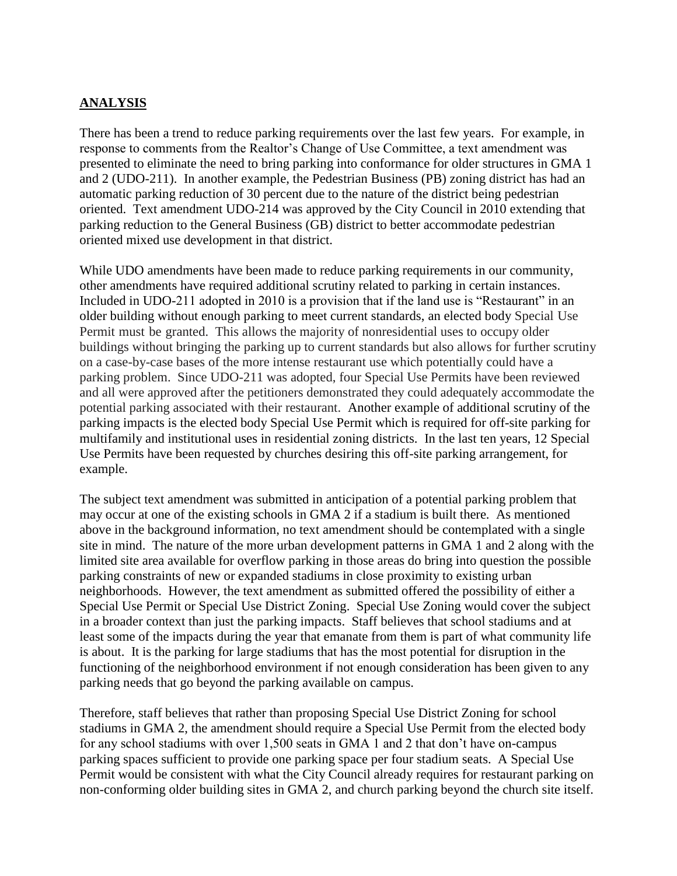# **ANALYSIS**

There has been a trend to reduce parking requirements over the last few years. For example, in response to comments from the Realtor's Change of Use Committee, a text amendment was presented to eliminate the need to bring parking into conformance for older structures in GMA 1 and 2 (UDO-211). In another example, the Pedestrian Business (PB) zoning district has had an automatic parking reduction of 30 percent due to the nature of the district being pedestrian oriented. Text amendment UDO-214 was approved by the City Council in 2010 extending that parking reduction to the General Business (GB) district to better accommodate pedestrian oriented mixed use development in that district.

While UDO amendments have been made to reduce parking requirements in our community, other amendments have required additional scrutiny related to parking in certain instances. Included in UDO-211 adopted in 2010 is a provision that if the land use is "Restaurant" in an older building without enough parking to meet current standards, an elected body Special Use Permit must be granted. This allows the majority of nonresidential uses to occupy older buildings without bringing the parking up to current standards but also allows for further scrutiny on a case-by-case bases of the more intense restaurant use which potentially could have a parking problem. Since UDO-211 was adopted, four Special Use Permits have been reviewed and all were approved after the petitioners demonstrated they could adequately accommodate the potential parking associated with their restaurant. Another example of additional scrutiny of the parking impacts is the elected body Special Use Permit which is required for off-site parking for multifamily and institutional uses in residential zoning districts. In the last ten years, 12 Special Use Permits have been requested by churches desiring this off-site parking arrangement, for example.

The subject text amendment was submitted in anticipation of a potential parking problem that may occur at one of the existing schools in GMA 2 if a stadium is built there. As mentioned above in the background information, no text amendment should be contemplated with a single site in mind. The nature of the more urban development patterns in GMA 1 and 2 along with the limited site area available for overflow parking in those areas do bring into question the possible parking constraints of new or expanded stadiums in close proximity to existing urban neighborhoods. However, the text amendment as submitted offered the possibility of either a Special Use Permit or Special Use District Zoning. Special Use Zoning would cover the subject in a broader context than just the parking impacts. Staff believes that school stadiums and at least some of the impacts during the year that emanate from them is part of what community life is about. It is the parking for large stadiums that has the most potential for disruption in the functioning of the neighborhood environment if not enough consideration has been given to any parking needs that go beyond the parking available on campus.

Therefore, staff believes that rather than proposing Special Use District Zoning for school stadiums in GMA 2, the amendment should require a Special Use Permit from the elected body for any school stadiums with over 1,500 seats in GMA 1 and 2 that don't have on-campus parking spaces sufficient to provide one parking space per four stadium seats. A Special Use Permit would be consistent with what the City Council already requires for restaurant parking on non-conforming older building sites in GMA 2, and church parking beyond the church site itself.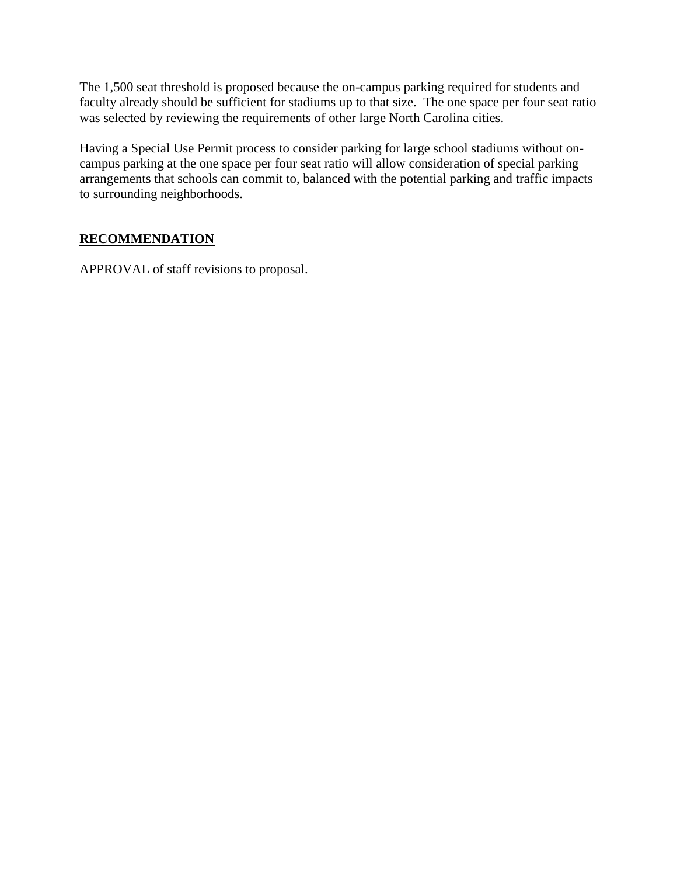The 1,500 seat threshold is proposed because the on-campus parking required for students and faculty already should be sufficient for stadiums up to that size. The one space per four seat ratio was selected by reviewing the requirements of other large North Carolina cities.

Having a Special Use Permit process to consider parking for large school stadiums without oncampus parking at the one space per four seat ratio will allow consideration of special parking arrangements that schools can commit to, balanced with the potential parking and traffic impacts to surrounding neighborhoods.

# **RECOMMENDATION**

APPROVAL of staff revisions to proposal.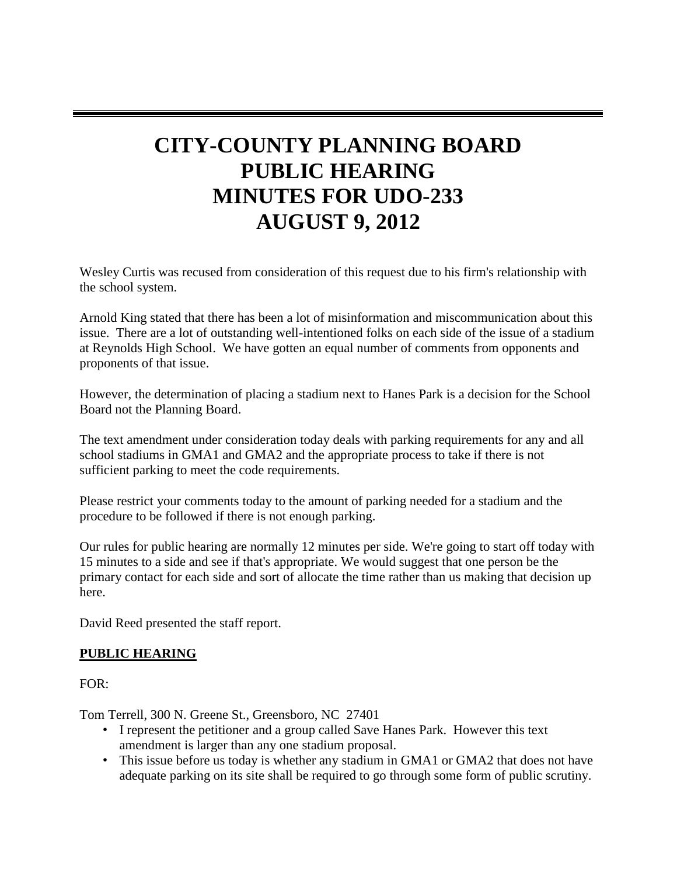# **CITY-COUNTY PLANNING BOARD PUBLIC HEARING MINUTES FOR UDO-233 AUGUST 9, 2012**

Wesley Curtis was recused from consideration of this request due to his firm's relationship with the school system.

Arnold King stated that there has been a lot of misinformation and miscommunication about this issue. There are a lot of outstanding well-intentioned folks on each side of the issue of a stadium at Reynolds High School. We have gotten an equal number of comments from opponents and proponents of that issue.

However, the determination of placing a stadium next to Hanes Park is a decision for the School Board not the Planning Board.

The text amendment under consideration today deals with parking requirements for any and all school stadiums in GMA1 and GMA2 and the appropriate process to take if there is not sufficient parking to meet the code requirements.

Please restrict your comments today to the amount of parking needed for a stadium and the procedure to be followed if there is not enough parking.

Our rules for public hearing are normally 12 minutes per side. We're going to start off today with 15 minutes to a side and see if that's appropriate. We would suggest that one person be the primary contact for each side and sort of allocate the time rather than us making that decision up here.

David Reed presented the staff report.

#### **PUBLIC HEARING**

 $FOR<sup>1</sup>$ 

Tom Terrell, 300 N. Greene St., Greensboro, NC 27401

- I represent the petitioner and a group called Save Hanes Park. However this text amendment is larger than any one stadium proposal.
- This issue before us today is whether any stadium in GMA1 or GMA2 that does not have adequate parking on its site shall be required to go through some form of public scrutiny.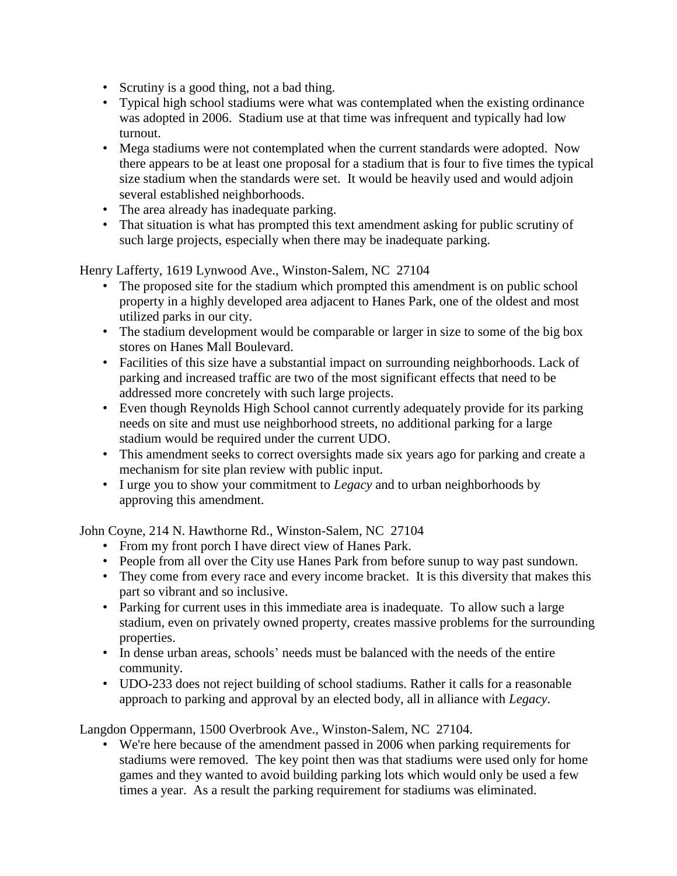- Scrutiny is a good thing, not a bad thing.
- Typical high school stadiums were what was contemplated when the existing ordinance was adopted in 2006. Stadium use at that time was infrequent and typically had low turnout.
- Mega stadiums were not contemplated when the current standards were adopted. Now there appears to be at least one proposal for a stadium that is four to five times the typical size stadium when the standards were set. It would be heavily used and would adjoin several established neighborhoods.
- The area already has inadequate parking.
- That situation is what has prompted this text amendment asking for public scrutiny of such large projects, especially when there may be inadequate parking.

Henry Lafferty, 1619 Lynwood Ave., Winston-Salem, NC 27104

- The proposed site for the stadium which prompted this amendment is on public school property in a highly developed area adjacent to Hanes Park, one of the oldest and most utilized parks in our city.
- The stadium development would be comparable or larger in size to some of the big box stores on Hanes Mall Boulevard.
- Facilities of this size have a substantial impact on surrounding neighborhoods. Lack of parking and increased traffic are two of the most significant effects that need to be addressed more concretely with such large projects.
- Even though Reynolds High School cannot currently adequately provide for its parking needs on site and must use neighborhood streets, no additional parking for a large stadium would be required under the current UDO.
- This amendment seeks to correct oversights made six years ago for parking and create a mechanism for site plan review with public input.
- I urge you to show your commitment to *Legacy* and to urban neighborhoods by approving this amendment.

John Coyne, 214 N. Hawthorne Rd., Winston-Salem, NC 27104

- From my front porch I have direct view of Hanes Park.
- People from all over the City use Hanes Park from before sunup to way past sundown.
- They come from every race and every income bracket. It is this diversity that makes this part so vibrant and so inclusive.
- Parking for current uses in this immediate area is inadequate. To allow such a large stadium, even on privately owned property, creates massive problems for the surrounding properties.
- In dense urban areas, schools' needs must be balanced with the needs of the entire community.
- UDO-233 does not reject building of school stadiums. Rather it calls for a reasonable approach to parking and approval by an elected body, all in alliance with *Legacy*.

Langdon Oppermann, 1500 Overbrook Ave., Winston-Salem, NC 27104.

 • We're here because of the amendment passed in 2006 when parking requirements for stadiums were removed. The key point then was that stadiums were used only for home games and they wanted to avoid building parking lots which would only be used a few times a year. As a result the parking requirement for stadiums was eliminated.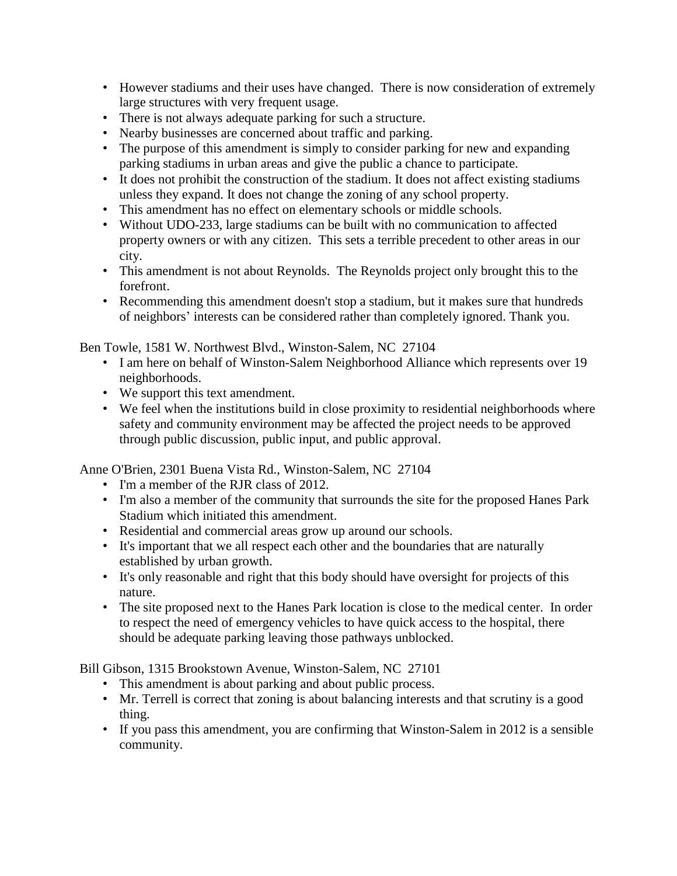- However stadiums and their uses have changed. There is now consideration of extremely large structures with very frequent usage.
- There is not always adequate parking for such a structure.
- Nearby businesses are concerned about traffic and parking.
- The purpose of this amendment is simply to consider parking for new and expanding parking stadiums in urban areas and give the public a chance to participate.
- It does not prohibit the construction of the stadium. It does not affect existing stadiums unless they expand. It does not change the zoning of any school property.
- This amendment has no effect on elementary schools or middle schools.
- Without UDO-233, large stadiums can be built with no communication to affected property owners or with any citizen. This sets a terrible precedent to other areas in our city.
- This amendment is not about Reynolds. The Reynolds project only brought this to the forefront.
- Recommending this amendment doesn't stop a stadium, but it makes sure that hundreds of neighbors' interests can be considered rather than completely ignored. Thank you.

Ben Towle, 1581 W. Northwest Blvd., Winston-Salem, NC 27104

- I am here on behalf of Winston-Salem Neighborhood Alliance which represents over 19 neighborhoods.
- We support this text amendment.
- We feel when the institutions build in close proximity to residential neighborhoods where safety and community environment may be affected the project needs to be approved through public discussion, public input, and public approval.

Anne O'Brien, 2301 Buena Vista Rd., Winston-Salem, NC 27104

- I'm a member of the RJR class of 2012.
- I'm also a member of the community that surrounds the site for the proposed Hanes Park Stadium which initiated this amendment.
- Residential and commercial areas grow up around our schools.
- It's important that we all respect each other and the boundaries that are naturally established by urban growth.
- It's only reasonable and right that this body should have oversight for projects of this nature.
- The site proposed next to the Hanes Park location is close to the medical center. In order to respect the need of emergency vehicles to have quick access to the hospital, there should be adequate parking leaving those pathways unblocked.

Bill Gibson, 1315 Brookstown Avenue, Winston-Salem, NC 27101

- This amendment is about parking and about public process.
- Mr. Terrell is correct that zoning is about balancing interests and that scrutiny is a good thing.
- If you pass this amendment, you are confirming that Winston-Salem in 2012 is a sensible community.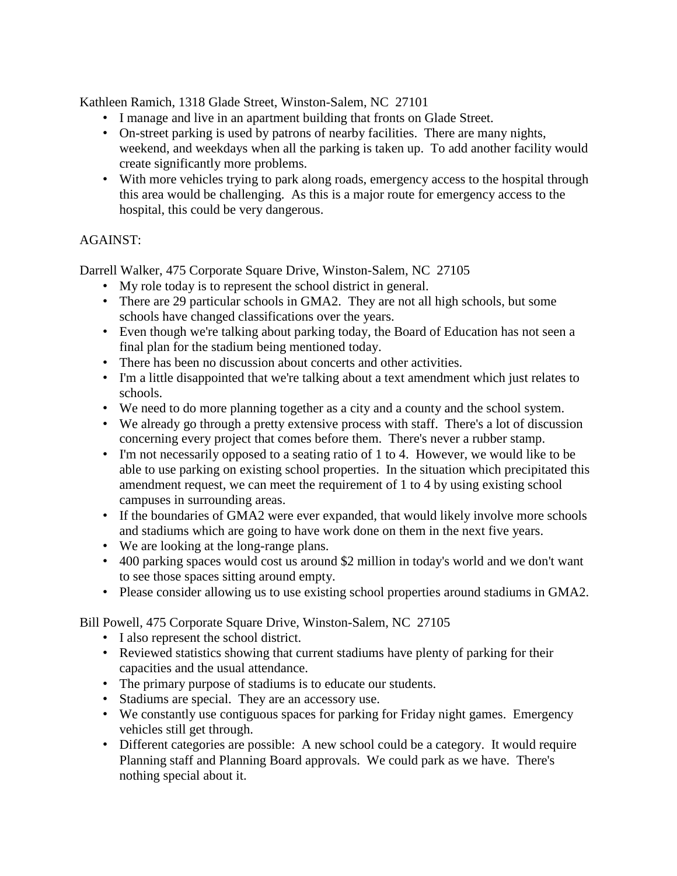Kathleen Ramich, 1318 Glade Street, Winston-Salem, NC 27101

- I manage and live in an apartment building that fronts on Glade Street.
- On-street parking is used by patrons of nearby facilities. There are many nights, weekend, and weekdays when all the parking is taken up. To add another facility would create significantly more problems.
- With more vehicles trying to park along roads, emergency access to the hospital through this area would be challenging. As this is a major route for emergency access to the hospital, this could be very dangerous.

#### AGAINST:

Darrell Walker, 475 Corporate Square Drive, Winston-Salem, NC 27105

- My role today is to represent the school district in general.
- There are 29 particular schools in GMA2. They are not all high schools, but some schools have changed classifications over the years.
- Even though we're talking about parking today, the Board of Education has not seen a final plan for the stadium being mentioned today.
- There has been no discussion about concerts and other activities.
- I'm a little disappointed that we're talking about a text amendment which just relates to schools.
- We need to do more planning together as a city and a county and the school system.
- We already go through a pretty extensive process with staff. There's a lot of discussion concerning every project that comes before them. There's never a rubber stamp.
- I'm not necessarily opposed to a seating ratio of 1 to 4. However, we would like to be able to use parking on existing school properties. In the situation which precipitated this amendment request, we can meet the requirement of 1 to 4 by using existing school campuses in surrounding areas.
- If the boundaries of GMA2 were ever expanded, that would likely involve more schools and stadiums which are going to have work done on them in the next five years.
- We are looking at the long-range plans.
- 400 parking spaces would cost us around \$2 million in today's world and we don't want to see those spaces sitting around empty.
- Please consider allowing us to use existing school properties around stadiums in GMA2.

Bill Powell, 475 Corporate Square Drive, Winston-Salem, NC 27105

- I also represent the school district.
- Reviewed statistics showing that current stadiums have plenty of parking for their capacities and the usual attendance.
- The primary purpose of stadiums is to educate our students.
- Stadiums are special. They are an accessory use.
- We constantly use contiguous spaces for parking for Friday night games. Emergency vehicles still get through.
- Different categories are possible: A new school could be a category. It would require Planning staff and Planning Board approvals. We could park as we have. There's nothing special about it.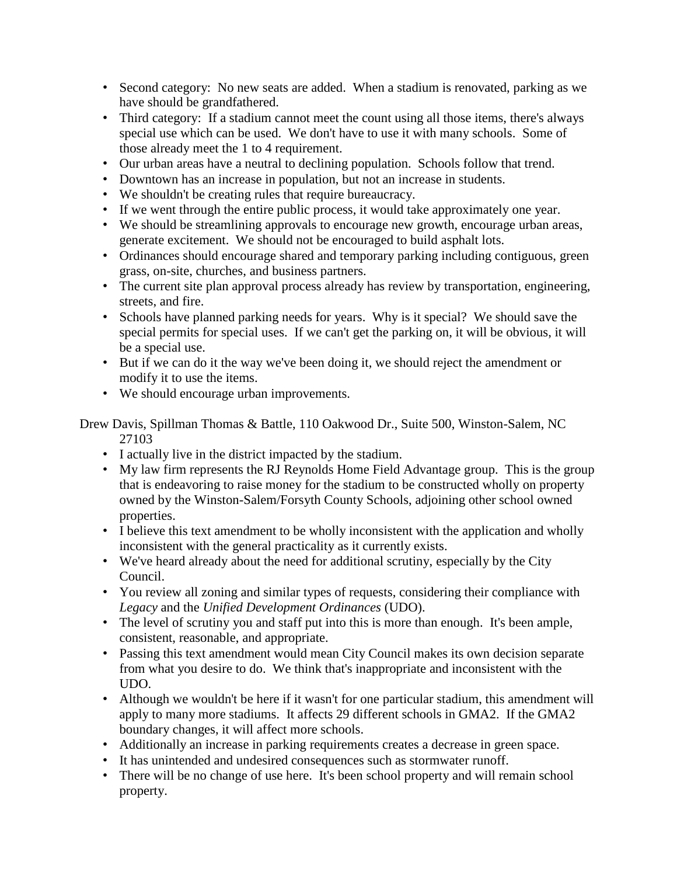- Second category: No new seats are added. When a stadium is renovated, parking as we have should be grandfathered.
- Third category: If a stadium cannot meet the count using all those items, there's always special use which can be used. We don't have to use it with many schools. Some of those already meet the 1 to 4 requirement.
- Our urban areas have a neutral to declining population. Schools follow that trend.
- Downtown has an increase in population, but not an increase in students.
- We shouldn't be creating rules that require bureaucracy.
- If we went through the entire public process, it would take approximately one year.
- We should be streamlining approvals to encourage new growth, encourage urban areas, generate excitement. We should not be encouraged to build asphalt lots.
- Ordinances should encourage shared and temporary parking including contiguous, green grass, on-site, churches, and business partners.
- The current site plan approval process already has review by transportation, engineering, streets, and fire.
- Schools have planned parking needs for years. Why is it special? We should save the special permits for special uses. If we can't get the parking on, it will be obvious, it will be a special use.
- But if we can do it the way we've been doing it, we should reject the amendment or modify it to use the items.
- We should encourage urban improvements.

Drew Davis, Spillman Thomas & Battle, 110 Oakwood Dr., Suite 500, Winston-Salem, NC 27103

- I actually live in the district impacted by the stadium.
- My law firm represents the RJ Reynolds Home Field Advantage group. This is the group that is endeavoring to raise money for the stadium to be constructed wholly on property owned by the Winston-Salem/Forsyth County Schools, adjoining other school owned properties.
- I believe this text amendment to be wholly inconsistent with the application and wholly inconsistent with the general practicality as it currently exists.
- We've heard already about the need for additional scrutiny, especially by the City Council.
- You review all zoning and similar types of requests, considering their compliance with *Legacy* and the *Unified Development Ordinances* (UDO).
- The level of scrutiny you and staff put into this is more than enough. It's been ample, consistent, reasonable, and appropriate.
- Passing this text amendment would mean City Council makes its own decision separate from what you desire to do. We think that's inappropriate and inconsistent with the UDO.
- Although we wouldn't be here if it wasn't for one particular stadium, this amendment will apply to many more stadiums. It affects 29 different schools in GMA2. If the GMA2 boundary changes, it will affect more schools.
- Additionally an increase in parking requirements creates a decrease in green space.
- It has unintended and undesired consequences such as stormwater runoff.
- There will be no change of use here. It's been school property and will remain school property.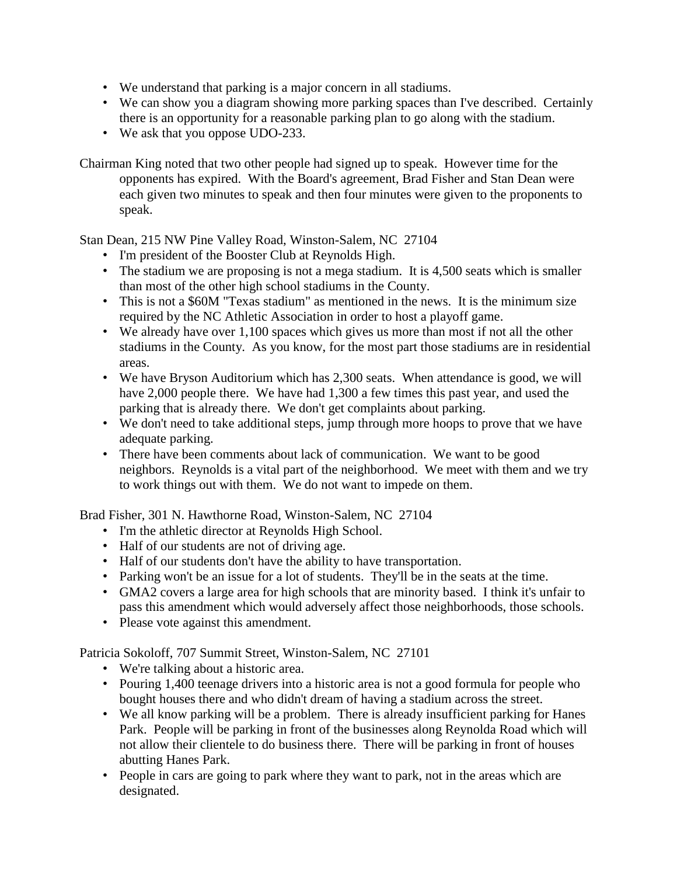- We understand that parking is a major concern in all stadiums.
- We can show you a diagram showing more parking spaces than I've described. Certainly there is an opportunity for a reasonable parking plan to go along with the stadium.
- We ask that you oppose UDO-233.

Chairman King noted that two other people had signed up to speak. However time for the opponents has expired. With the Board's agreement, Brad Fisher and Stan Dean were each given two minutes to speak and then four minutes were given to the proponents to speak.

Stan Dean, 215 NW Pine Valley Road, Winston-Salem, NC 27104

- I'm president of the Booster Club at Reynolds High.
- The stadium we are proposing is not a mega stadium. It is 4,500 seats which is smaller than most of the other high school stadiums in the County.
- This is not a \$60M "Texas stadium" as mentioned in the news. It is the minimum size required by the NC Athletic Association in order to host a playoff game.
- We already have over 1,100 spaces which gives us more than most if not all the other stadiums in the County. As you know, for the most part those stadiums are in residential areas.
- We have Bryson Auditorium which has 2,300 seats. When attendance is good, we will have 2,000 people there. We have had 1,300 a few times this past year, and used the parking that is already there. We don't get complaints about parking.
- We don't need to take additional steps, jump through more hoops to prove that we have adequate parking.
- There have been comments about lack of communication. We want to be good neighbors. Reynolds is a vital part of the neighborhood. We meet with them and we try to work things out with them. We do not want to impede on them.

Brad Fisher, 301 N. Hawthorne Road, Winston-Salem, NC 27104

- I'm the athletic director at Reynolds High School.
- Half of our students are not of driving age.
- Half of our students don't have the ability to have transportation.
- Parking won't be an issue for a lot of students. They'll be in the seats at the time.
- GMA2 covers a large area for high schools that are minority based. I think it's unfair to pass this amendment which would adversely affect those neighborhoods, those schools.
- Please vote against this amendment.

Patricia Sokoloff, 707 Summit Street, Winston-Salem, NC 27101

- We're talking about a historic area.
- Pouring 1,400 teenage drivers into a historic area is not a good formula for people who bought houses there and who didn't dream of having a stadium across the street.
- We all know parking will be a problem. There is already insufficient parking for Hanes Park. People will be parking in front of the businesses along Reynolda Road which will not allow their clientele to do business there. There will be parking in front of houses abutting Hanes Park.
- People in cars are going to park where they want to park, not in the areas which are designated.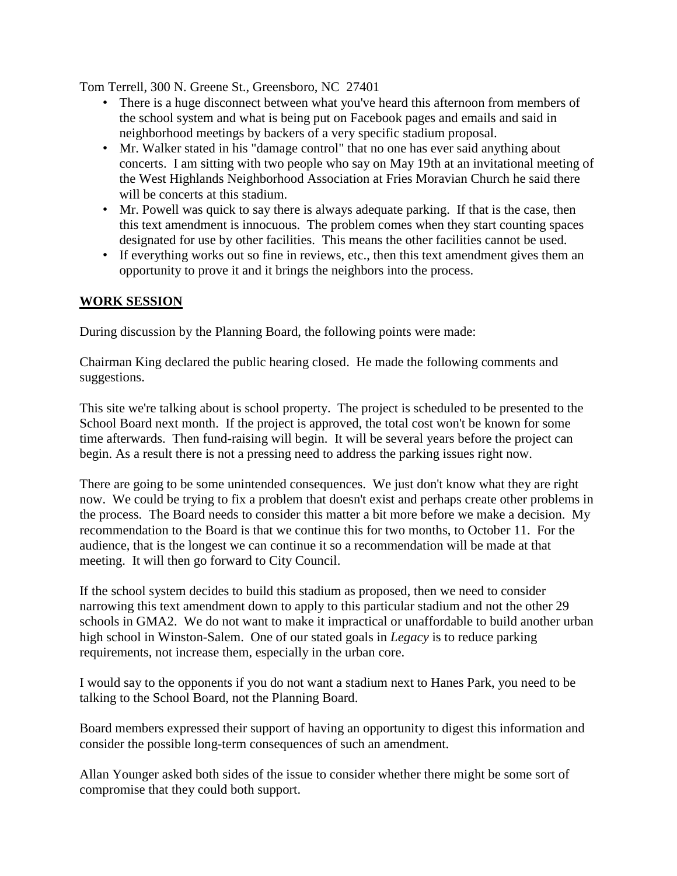Tom Terrell, 300 N. Greene St., Greensboro, NC 27401

- There is a huge disconnect between what you've heard this afternoon from members of the school system and what is being put on Facebook pages and emails and said in neighborhood meetings by backers of a very specific stadium proposal.
- Mr. Walker stated in his "damage control" that no one has ever said anything about concerts. I am sitting with two people who say on May 19th at an invitational meeting of the West Highlands Neighborhood Association at Fries Moravian Church he said there will be concerts at this stadium.
- Mr. Powell was quick to say there is always adequate parking. If that is the case, then this text amendment is innocuous. The problem comes when they start counting spaces designated for use by other facilities. This means the other facilities cannot be used.
- If everything works out so fine in reviews, etc., then this text amendment gives them an opportunity to prove it and it brings the neighbors into the process.

#### **WORK SESSION**

During discussion by the Planning Board, the following points were made:

Chairman King declared the public hearing closed. He made the following comments and suggestions.

This site we're talking about is school property. The project is scheduled to be presented to the School Board next month. If the project is approved, the total cost won't be known for some time afterwards. Then fund-raising will begin. It will be several years before the project can begin. As a result there is not a pressing need to address the parking issues right now.

There are going to be some unintended consequences. We just don't know what they are right now. We could be trying to fix a problem that doesn't exist and perhaps create other problems in the process. The Board needs to consider this matter a bit more before we make a decision. My recommendation to the Board is that we continue this for two months, to October 11. For the audience, that is the longest we can continue it so a recommendation will be made at that meeting. It will then go forward to City Council.

If the school system decides to build this stadium as proposed, then we need to consider narrowing this text amendment down to apply to this particular stadium and not the other 29 schools in GMA2. We do not want to make it impractical or unaffordable to build another urban high school in Winston-Salem. One of our stated goals in *Legacy* is to reduce parking requirements, not increase them, especially in the urban core.

I would say to the opponents if you do not want a stadium next to Hanes Park, you need to be talking to the School Board, not the Planning Board.

Board members expressed their support of having an opportunity to digest this information and consider the possible long-term consequences of such an amendment.

Allan Younger asked both sides of the issue to consider whether there might be some sort of compromise that they could both support.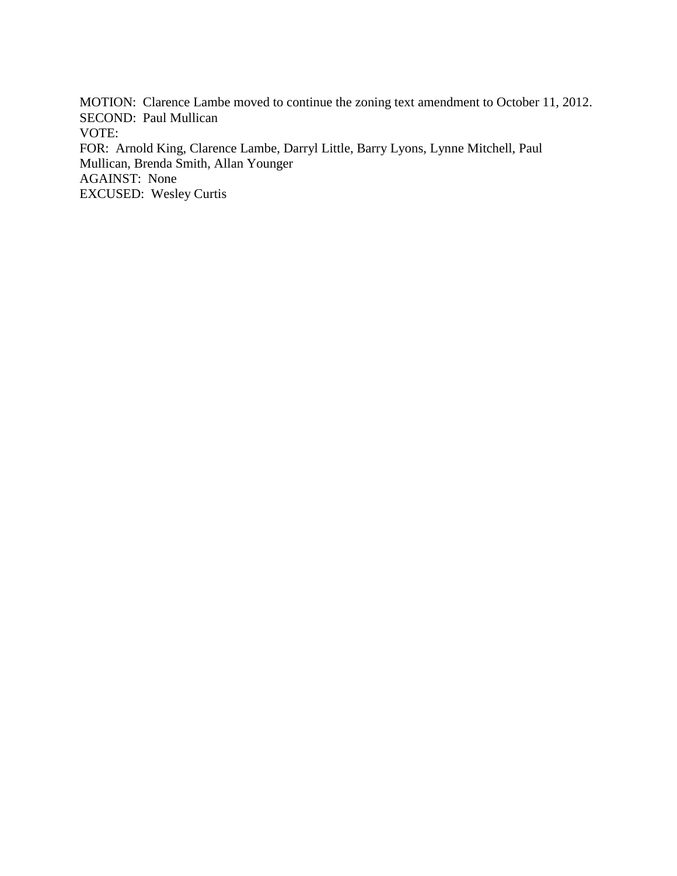MOTION: Clarence Lambe moved to continue the zoning text amendment to October 11, 2012. SECOND: Paul Mullican VOTE: FOR: Arnold King, Clarence Lambe, Darryl Little, Barry Lyons, Lynne Mitchell, Paul Mullican, Brenda Smith, Allan Younger AGAINST: None EXCUSED: Wesley Curtis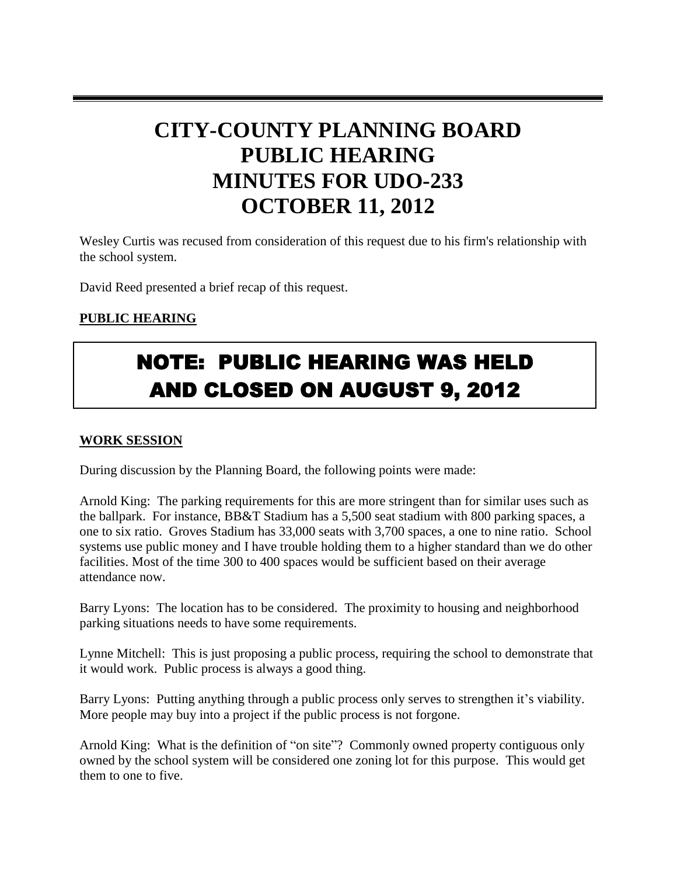# **CITY-COUNTY PLANNING BOARD PUBLIC HEARING MINUTES FOR UDO-233 OCTOBER 11, 2012**

Wesley Curtis was recused from consideration of this request due to his firm's relationship with the school system.

David Reed presented a brief recap of this request.

### **PUBLIC HEARING**

# NOTE: PUBLIC HEARING WAS HELD AND CLOSED ON AUGUST 9, 2012

#### **WORK SESSION**

During discussion by the Planning Board, the following points were made:

Arnold King: The parking requirements for this are more stringent than for similar uses such as the ballpark. For instance, BB&T Stadium has a 5,500 seat stadium with 800 parking spaces, a one to six ratio. Groves Stadium has 33,000 seats with 3,700 spaces, a one to nine ratio. School systems use public money and I have trouble holding them to a higher standard than we do other facilities. Most of the time 300 to 400 spaces would be sufficient based on their average attendance now.

Barry Lyons: The location has to be considered. The proximity to housing and neighborhood parking situations needs to have some requirements.

Lynne Mitchell: This is just proposing a public process, requiring the school to demonstrate that it would work. Public process is always a good thing.

Barry Lyons: Putting anything through a public process only serves to strengthen it's viability. More people may buy into a project if the public process is not forgone.

Arnold King: What is the definition of "on site"? Commonly owned property contiguous only owned by the school system will be considered one zoning lot for this purpose. This would get them to one to five.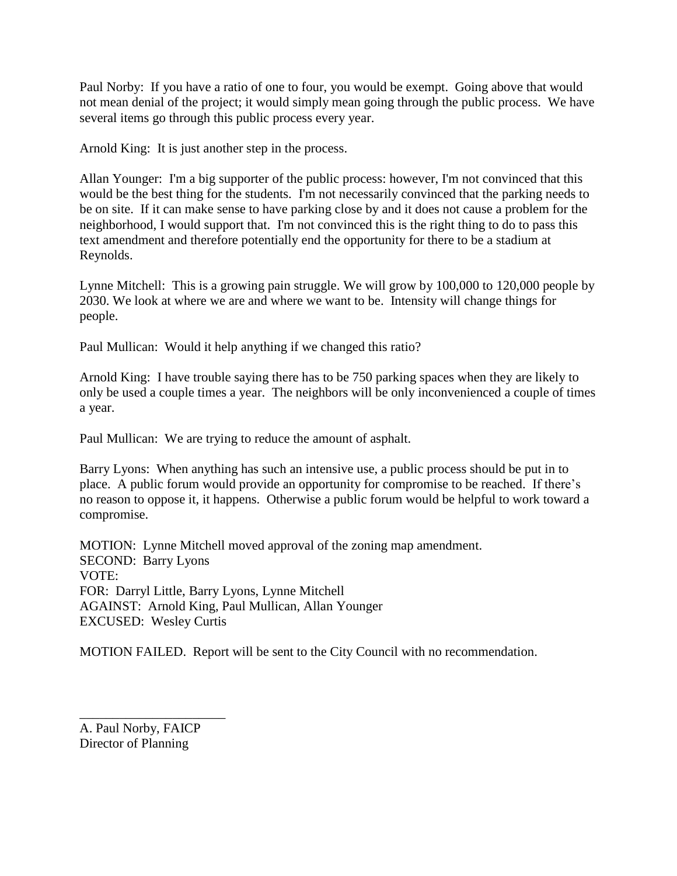Paul Norby: If you have a ratio of one to four, you would be exempt. Going above that would not mean denial of the project; it would simply mean going through the public process. We have several items go through this public process every year.

Arnold King: It is just another step in the process.

Allan Younger: I'm a big supporter of the public process: however, I'm not convinced that this would be the best thing for the students. I'm not necessarily convinced that the parking needs to be on site. If it can make sense to have parking close by and it does not cause a problem for the neighborhood, I would support that. I'm not convinced this is the right thing to do to pass this text amendment and therefore potentially end the opportunity for there to be a stadium at Reynolds.

Lynne Mitchell: This is a growing pain struggle. We will grow by 100,000 to 120,000 people by 2030. We look at where we are and where we want to be. Intensity will change things for people.

Paul Mullican: Would it help anything if we changed this ratio?

Arnold King: I have trouble saying there has to be 750 parking spaces when they are likely to only be used a couple times a year. The neighbors will be only inconvenienced a couple of times a year.

Paul Mullican: We are trying to reduce the amount of asphalt.

Barry Lyons: When anything has such an intensive use, a public process should be put in to place. A public forum would provide an opportunity for compromise to be reached. If there's no reason to oppose it, it happens. Otherwise a public forum would be helpful to work toward a compromise.

MOTION: Lynne Mitchell moved approval of the zoning map amendment. SECOND: Barry Lyons VOTE: FOR: Darryl Little, Barry Lyons, Lynne Mitchell AGAINST: Arnold King, Paul Mullican, Allan Younger EXCUSED: Wesley Curtis

MOTION FAILED. Report will be sent to the City Council with no recommendation.

A. Paul Norby, FAICP Director of Planning

\_\_\_\_\_\_\_\_\_\_\_\_\_\_\_\_\_\_\_\_\_\_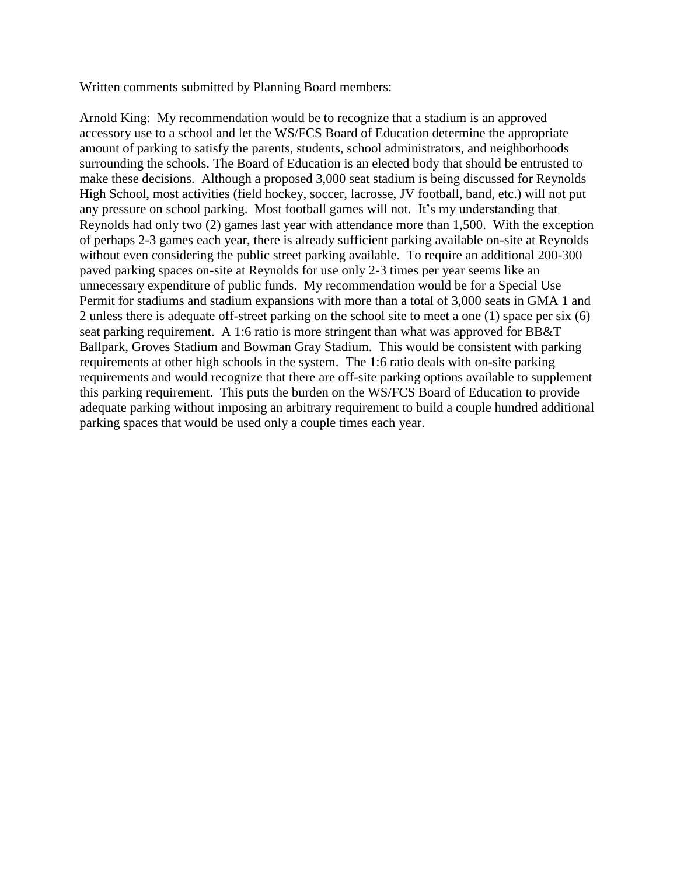Written comments submitted by Planning Board members:

Arnold King: My recommendation would be to recognize that a stadium is an approved accessory use to a school and let the WS/FCS Board of Education determine the appropriate amount of parking to satisfy the parents, students, school administrators, and neighborhoods surrounding the schools. The Board of Education is an elected body that should be entrusted to make these decisions. Although a proposed 3,000 seat stadium is being discussed for Reynolds High School, most activities (field hockey, soccer, lacrosse, JV football, band, etc.) will not put any pressure on school parking. Most football games will not. It's my understanding that Reynolds had only two (2) games last year with attendance more than 1,500. With the exception of perhaps 2-3 games each year, there is already sufficient parking available on-site at Reynolds without even considering the public street parking available. To require an additional 200-300 paved parking spaces on-site at Reynolds for use only 2-3 times per year seems like an unnecessary expenditure of public funds. My recommendation would be for a Special Use Permit for stadiums and stadium expansions with more than a total of 3,000 seats in GMA 1 and 2 unless there is adequate off-street parking on the school site to meet a one (1) space per six (6) seat parking requirement. A 1:6 ratio is more stringent than what was approved for BB&T Ballpark, Groves Stadium and Bowman Gray Stadium. This would be consistent with parking requirements at other high schools in the system. The 1:6 ratio deals with on-site parking requirements and would recognize that there are off-site parking options available to supplement this parking requirement. This puts the burden on the WS/FCS Board of Education to provide adequate parking without imposing an arbitrary requirement to build a couple hundred additional parking spaces that would be used only a couple times each year.